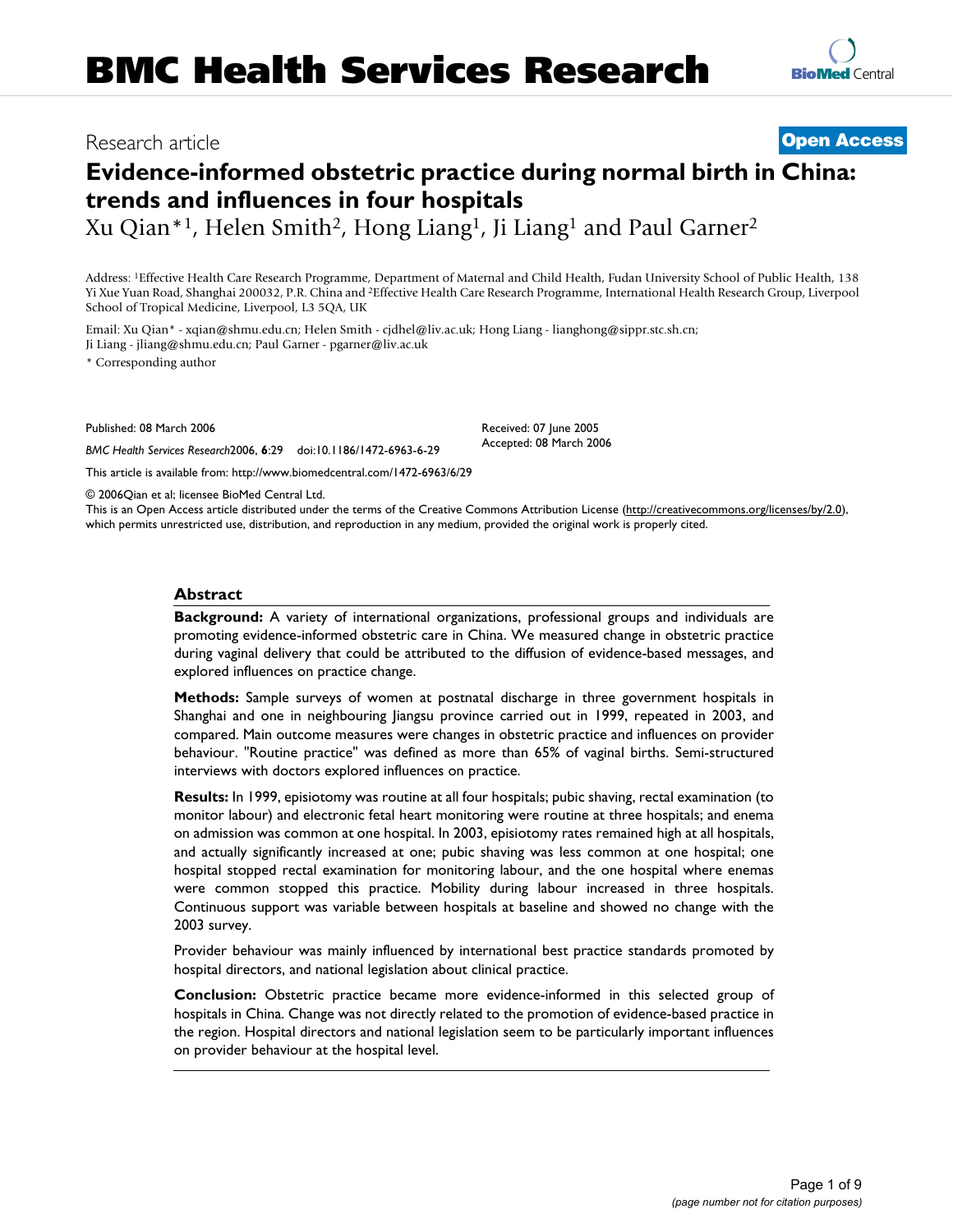# Research article **[Open Access](http://www.biomedcentral.com/info/about/charter/)**

**[BioMed](http://www.biomedcentral.com/)** Central

# **Evidence-informed obstetric practice during normal birth in China: trends and influences in four hospitals**

Xu Qian\*<sup>1</sup>, Helen Smith<sup>2</sup>, Hong Liang<sup>1</sup>, Ji Liang<sup>1</sup> and Paul Garner<sup>2</sup>

Address: 1Effective Health Care Research Programme, Department of Maternal and Child Health, Fudan University School of Public Health, 138 Yi Xue Yuan Road, Shanghai 200032, P.R. China and 2Effective Health Care Research Programme, International Health Research Group, Liverpool School of Tropical Medicine, Liverpool, L3 5QA, UK

Email: Xu Qian\* - xqian@shmu.edu.cn; Helen Smith - cjdhel@liv.ac.uk; Hong Liang - lianghong@sippr.stc.sh.cn; Ji Liang - jliang@shmu.edu.cn; Paul Garner - pgarner@liv.ac.uk

\* Corresponding author

Published: 08 March 2006

*BMC Health Services Research*2006, **6**:29 doi:10.1186/1472-6963-6-29

[This article is available from: http://www.biomedcentral.com/1472-6963/6/29](http://www.biomedcentral.com/1472-6963/6/29)

© 2006Qian et al; licensee BioMed Central Ltd.

This is an Open Access article distributed under the terms of the Creative Commons Attribution License [\(http://creativecommons.org/licenses/by/2.0\)](http://creativecommons.org/licenses/by/2.0), which permits unrestricted use, distribution, and reproduction in any medium, provided the original work is properly cited.

Received: 07 June 2005 Accepted: 08 March 2006

# **Abstract**

**Background:** A variety of international organizations, professional groups and individuals are promoting evidence-informed obstetric care in China. We measured change in obstetric practice during vaginal delivery that could be attributed to the diffusion of evidence-based messages, and explored influences on practice change.

**Methods:** Sample surveys of women at postnatal discharge in three government hospitals in Shanghai and one in neighbouring Jiangsu province carried out in 1999, repeated in 2003, and compared. Main outcome measures were changes in obstetric practice and influences on provider behaviour. "Routine practice" was defined as more than 65% of vaginal births. Semi-structured interviews with doctors explored influences on practice.

**Results:** In 1999, episiotomy was routine at all four hospitals; pubic shaving, rectal examination (to monitor labour) and electronic fetal heart monitoring were routine at three hospitals; and enema on admission was common at one hospital. In 2003, episiotomy rates remained high at all hospitals, and actually significantly increased at one; pubic shaving was less common at one hospital; one hospital stopped rectal examination for monitoring labour, and the one hospital where enemas were common stopped this practice. Mobility during labour increased in three hospitals. Continuous support was variable between hospitals at baseline and showed no change with the 2003 survey.

Provider behaviour was mainly influenced by international best practice standards promoted by hospital directors, and national legislation about clinical practice.

**Conclusion:** Obstetric practice became more evidence-informed in this selected group of hospitals in China. Change was not directly related to the promotion of evidence-based practice in the region. Hospital directors and national legislation seem to be particularly important influences on provider behaviour at the hospital level.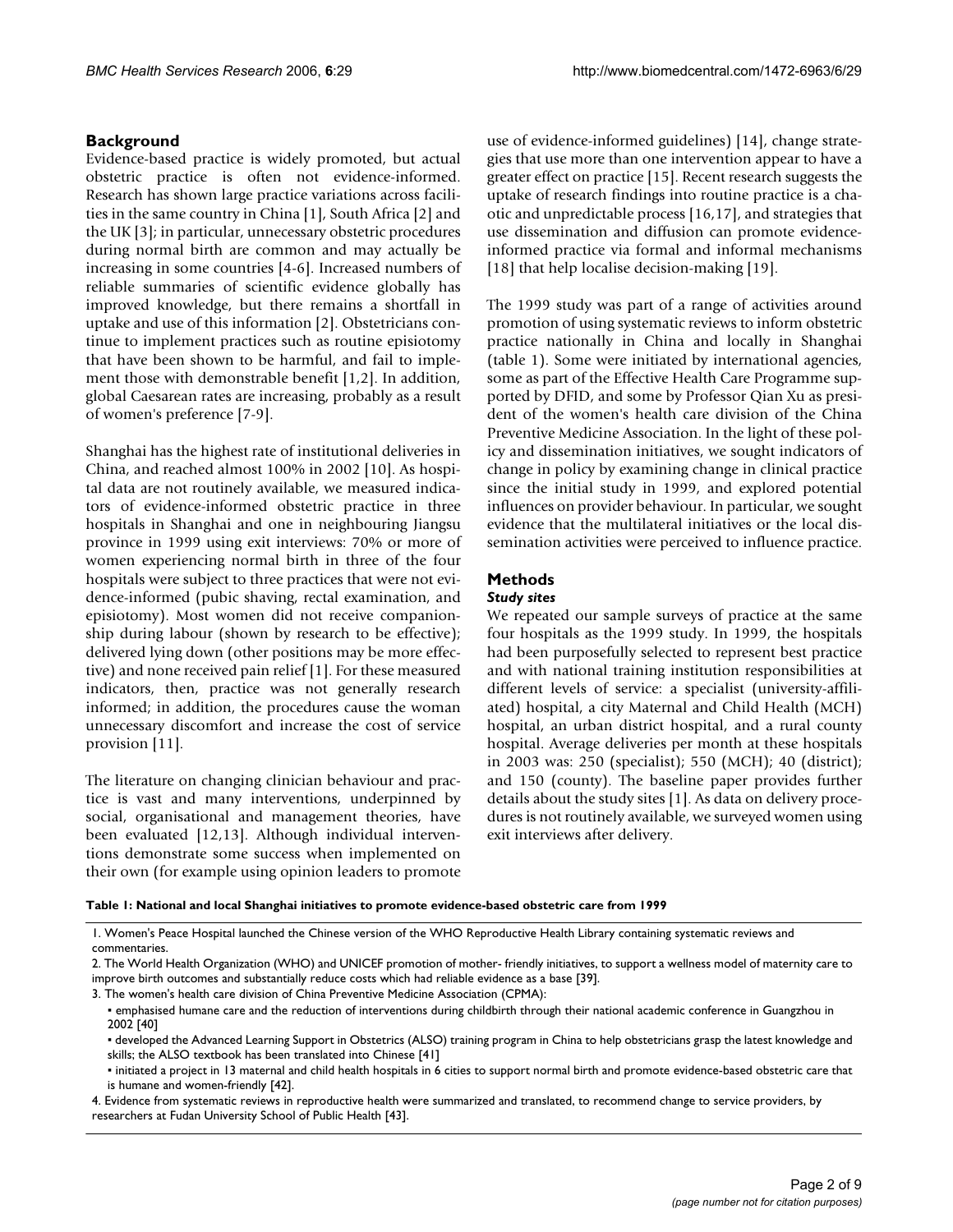# **Background**

Evidence-based practice is widely promoted, but actual obstetric practice is often not evidence-informed. Research has shown large practice variations across facilities in the same country in China [1], South Africa [2] and the UK [3]; in particular, unnecessary obstetric procedures during normal birth are common and may actually be increasing in some countries [4-6]. Increased numbers of reliable summaries of scientific evidence globally has improved knowledge, but there remains a shortfall in uptake and use of this information [2]. Obstetricians continue to implement practices such as routine episiotomy that have been shown to be harmful, and fail to implement those with demonstrable benefit [1,2]. In addition, global Caesarean rates are increasing, probably as a result of women's preference [7-9].

Shanghai has the highest rate of institutional deliveries in China, and reached almost 100% in 2002 [10]. As hospital data are not routinely available, we measured indicators of evidence-informed obstetric practice in three hospitals in Shanghai and one in neighbouring Jiangsu province in 1999 using exit interviews: 70% or more of women experiencing normal birth in three of the four hospitals were subject to three practices that were not evidence-informed (pubic shaving, rectal examination, and episiotomy). Most women did not receive companionship during labour (shown by research to be effective); delivered lying down (other positions may be more effective) and none received pain relief [1]. For these measured indicators, then, practice was not generally research informed; in addition, the procedures cause the woman unnecessary discomfort and increase the cost of service provision [11].

The literature on changing clinician behaviour and practice is vast and many interventions, underpinned by social, organisational and management theories, have been evaluated [12,13]. Although individual interventions demonstrate some success when implemented on their own (for example using opinion leaders to promote use of evidence-informed guidelines) [14], change strategies that use more than one intervention appear to have a greater effect on practice [15]. Recent research suggests the uptake of research findings into routine practice is a chaotic and unpredictable process [16,17], and strategies that use dissemination and diffusion can promote evidenceinformed practice via formal and informal mechanisms [18] that help localise decision-making [19].

The 1999 study was part of a range of activities around promotion of using systematic reviews to inform obstetric practice nationally in China and locally in Shanghai (table 1). Some were initiated by international agencies, some as part of the Effective Health Care Programme supported by DFID, and some by Professor Qian Xu as president of the women's health care division of the China Preventive Medicine Association. In the light of these policy and dissemination initiatives, we sought indicators of change in policy by examining change in clinical practice since the initial study in 1999, and explored potential influences on provider behaviour. In particular, we sought evidence that the multilateral initiatives or the local dissemination activities were perceived to influence practice.

# **Methods**

### *Study sites*

We repeated our sample surveys of practice at the same four hospitals as the 1999 study. In 1999, the hospitals had been purposefully selected to represent best practice and with national training institution responsibilities at different levels of service: a specialist (university-affiliated) hospital, a city Maternal and Child Health (MCH) hospital, an urban district hospital, and a rural county hospital. Average deliveries per month at these hospitals in 2003 was: 250 (specialist); 550 (MCH); 40 (district); and 150 (county). The baseline paper provides further details about the study sites [1]. As data on delivery procedures is not routinely available, we surveyed women using exit interviews after delivery.

**Table 1: National and local Shanghai initiatives to promote evidence-based obstetric care from 1999**

3. The women's health care division of China Preventive Medicine Association (CPMA):

<sup>1.</sup> Women's Peace Hospital launched the Chinese version of the WHO Reproductive Health Library containing systematic reviews and commentaries.

<sup>2.</sup> The World Health Organization (WHO) and UNICEF promotion of mother- friendly initiatives, to support a wellness model of maternity care to improve birth outcomes and substantially reduce costs which had reliable evidence as a base [39].

<sup>▪</sup> emphasised humane care and the reduction of interventions during childbirth through their national academic conference in Guangzhou in 2002 [40]

<sup>▪</sup> developed the Advanced Learning Support in Obstetrics (ALSO) training program in China to help obstetricians grasp the latest knowledge and skills; the ALSO textbook has been translated into Chinese [41]

<sup>▪</sup> initiated a project in 13 maternal and child health hospitals in 6 cities to support normal birth and promote evidence-based obstetric care that is humane and women-friendly [42].

<sup>4.</sup> Evidence from systematic reviews in reproductive health were summarized and translated, to recommend change to service providers, by researchers at Fudan University School of Public Health [43].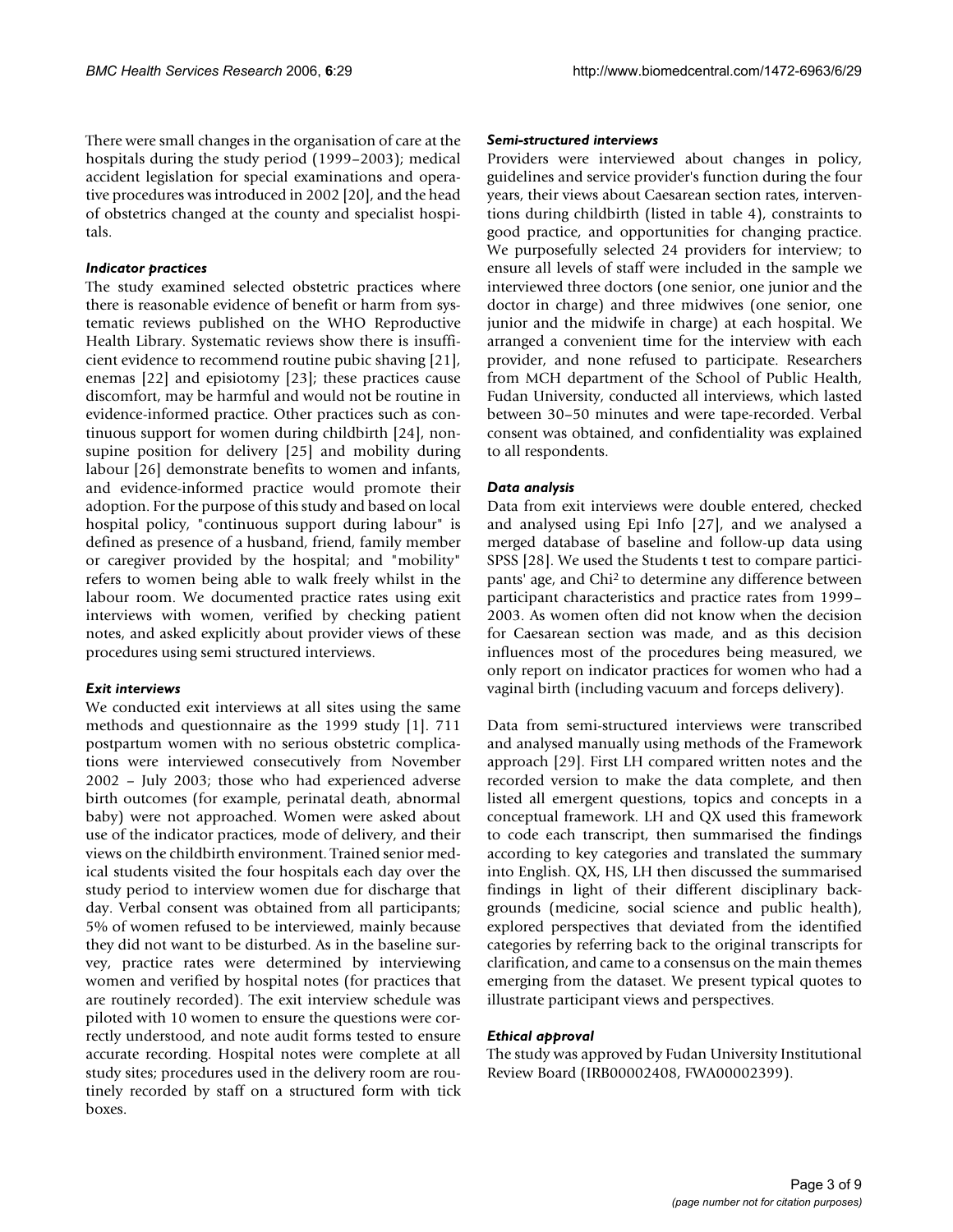There were small changes in the organisation of care at the hospitals during the study period (1999–2003); medical accident legislation for special examinations and operative procedures was introduced in 2002 [20], and the head of obstetrics changed at the county and specialist hospitals.

### *Indicator practices*

The study examined selected obstetric practices where there is reasonable evidence of benefit or harm from systematic reviews published on the WHO Reproductive Health Library. Systematic reviews show there is insufficient evidence to recommend routine pubic shaving [21], enemas [22] and episiotomy [23]; these practices cause discomfort, may be harmful and would not be routine in evidence-informed practice. Other practices such as continuous support for women during childbirth [24], nonsupine position for delivery [25] and mobility during labour [26] demonstrate benefits to women and infants, and evidence-informed practice would promote their adoption. For the purpose of this study and based on local hospital policy, "continuous support during labour" is defined as presence of a husband, friend, family member or caregiver provided by the hospital; and "mobility" refers to women being able to walk freely whilst in the labour room. We documented practice rates using exit interviews with women, verified by checking patient notes, and asked explicitly about provider views of these procedures using semi structured interviews.

# *Exit interviews*

We conducted exit interviews at all sites using the same methods and questionnaire as the 1999 study [1]. 711 postpartum women with no serious obstetric complications were interviewed consecutively from November 2002 – July 2003; those who had experienced adverse birth outcomes (for example, perinatal death, abnormal baby) were not approached. Women were asked about use of the indicator practices, mode of delivery, and their views on the childbirth environment. Trained senior medical students visited the four hospitals each day over the study period to interview women due for discharge that day. Verbal consent was obtained from all participants; 5% of women refused to be interviewed, mainly because they did not want to be disturbed. As in the baseline survey, practice rates were determined by interviewing women and verified by hospital notes (for practices that are routinely recorded). The exit interview schedule was piloted with 10 women to ensure the questions were correctly understood, and note audit forms tested to ensure accurate recording. Hospital notes were complete at all study sites; procedures used in the delivery room are routinely recorded by staff on a structured form with tick boxes.

#### *Semi-structured interviews*

Providers were interviewed about changes in policy, guidelines and service provider's function during the four years, their views about Caesarean section rates, interventions during childbirth (listed in table 4), constraints to good practice, and opportunities for changing practice. We purposefully selected 24 providers for interview; to ensure all levels of staff were included in the sample we interviewed three doctors (one senior, one junior and the doctor in charge) and three midwives (one senior, one junior and the midwife in charge) at each hospital. We arranged a convenient time for the interview with each provider, and none refused to participate. Researchers from MCH department of the School of Public Health, Fudan University, conducted all interviews, which lasted between 30–50 minutes and were tape-recorded. Verbal consent was obtained, and confidentiality was explained to all respondents.

# *Data analysis*

Data from exit interviews were double entered, checked and analysed using Epi Info [27], and we analysed a merged database of baseline and follow-up data using SPSS [28]. We used the Students t test to compare participants' age, and Chi2 to determine any difference between participant characteristics and practice rates from 1999– 2003. As women often did not know when the decision for Caesarean section was made, and as this decision influences most of the procedures being measured, we only report on indicator practices for women who had a vaginal birth (including vacuum and forceps delivery).

Data from semi-structured interviews were transcribed and analysed manually using methods of the Framework approach [29]. First LH compared written notes and the recorded version to make the data complete, and then listed all emergent questions, topics and concepts in a conceptual framework. LH and QX used this framework to code each transcript, then summarised the findings according to key categories and translated the summary into English. QX, HS, LH then discussed the summarised findings in light of their different disciplinary backgrounds (medicine, social science and public health), explored perspectives that deviated from the identified categories by referring back to the original transcripts for clarification, and came to a consensus on the main themes emerging from the dataset. We present typical quotes to illustrate participant views and perspectives.

# *Ethical approval*

The study was approved by Fudan University Institutional Review Board (IRB00002408, FWA00002399).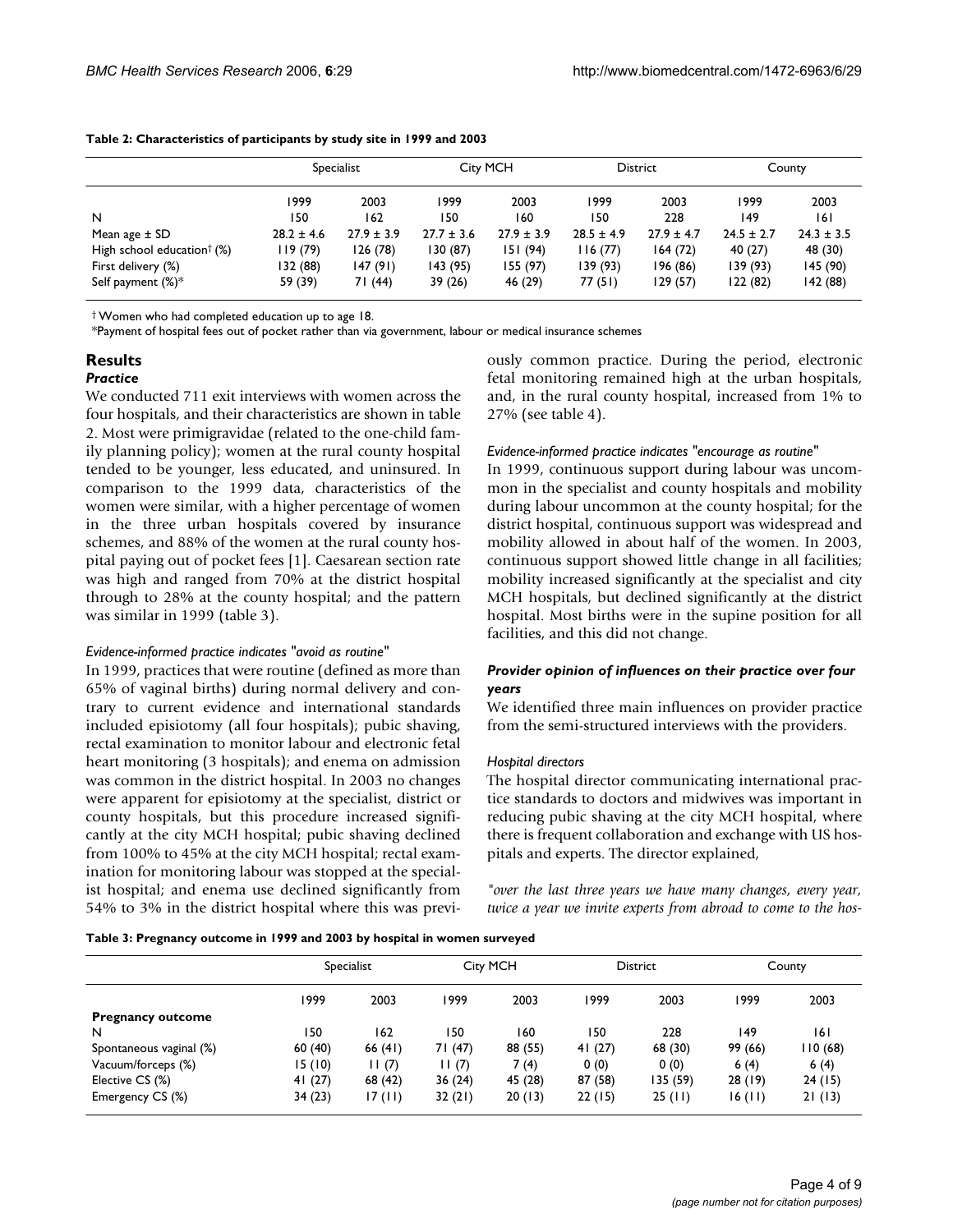|                                        | Specialist     |                | <b>City MCH</b> |                | <b>District</b> |                | County         |                |
|----------------------------------------|----------------|----------------|-----------------|----------------|-----------------|----------------|----------------|----------------|
|                                        | 1999           | 2003           | 1999            | 2003           | 1999            | 2003           | 1999           | 2003           |
| N                                      | 150            | 162            | 150             | 160            | 150             | 228            | 149            | 161            |
| Mean age $\pm$ SD                      | $28.2 \pm 4.6$ | $27.9 \pm 3.9$ | $27.7 \pm 3.6$  | $27.9 \pm 3.9$ | $28.5 \pm 4.9$  | $27.9 \pm 4.7$ | $24.5 \pm 2.7$ | $24.3 \pm 3.5$ |
| High school education <sup>†</sup> (%) | 19 (79)        | 126(78)        | 130 (87)        | 151(94)        | 116(77)         | 164(72)        | 40 (27)        | 48 (30)        |
| First delivery (%)                     | 32 (88)        | 147(91)        | 143(95)         | 155 (97)       | 139 (93)        | 196 (86)       | 139 (93)       | 145(90)        |
| Self payment (%)*                      | 59 (39)        | 71 (44)        | 39 (26)         | 46 (29)        | 77 (51)         | 129(57)        | 122(82)        | 142 (88)       |

#### **Table 2: Characteristics of participants by study site in 1999 and 2003**

† Women who had completed education up to age 18.

\*Payment of hospital fees out of pocket rather than via government, labour or medical insurance schemes

#### **Results** *Practice*

We conducted 711 exit interviews with women across the four hospitals, and their characteristics are shown in table 2. Most were primigravidae (related to the one-child family planning policy); women at the rural county hospital tended to be younger, less educated, and uninsured. In comparison to the 1999 data, characteristics of the women were similar, with a higher percentage of women in the three urban hospitals covered by insurance schemes, and 88% of the women at the rural county hospital paying out of pocket fees [1]. Caesarean section rate was high and ranged from 70% at the district hospital through to 28% at the county hospital; and the pattern was similar in 1999 (table 3).

#### *Evidence-informed practice indicates "avoid as routine"*

In 1999, practices that were routine (defined as more than 65% of vaginal births) during normal delivery and contrary to current evidence and international standards included episiotomy (all four hospitals); pubic shaving, rectal examination to monitor labour and electronic fetal heart monitoring (3 hospitals); and enema on admission was common in the district hospital. In 2003 no changes were apparent for episiotomy at the specialist, district or county hospitals, but this procedure increased significantly at the city MCH hospital; pubic shaving declined from 100% to 45% at the city MCH hospital; rectal examination for monitoring labour was stopped at the specialist hospital; and enema use declined significantly from 54% to 3% in the district hospital where this was previously common practice. During the period, electronic fetal monitoring remained high at the urban hospitals, and, in the rural county hospital, increased from 1% to 27% (see table 4).

#### *Evidence-informed practice indicates "encourage as routine"*

In 1999, continuous support during labour was uncommon in the specialist and county hospitals and mobility during labour uncommon at the county hospital; for the district hospital, continuous support was widespread and mobility allowed in about half of the women. In 2003, continuous support showed little change in all facilities; mobility increased significantly at the specialist and city MCH hospitals, but declined significantly at the district hospital. Most births were in the supine position for all facilities, and this did not change.

# *Provider opinion of influences on their practice over four years*

We identified three main influences on provider practice from the semi-structured interviews with the providers.

#### *Hospital directors*

The hospital director communicating international practice standards to doctors and midwives was important in reducing pubic shaving at the city MCH hospital, where there is frequent collaboration and exchange with US hospitals and experts. The director explained,

*"over the last three years we have many changes, every year, twice a year we invite experts from abroad to come to the hos-*

#### **Table 3: Pregnancy outcome in 1999 and 2003 by hospital in women surveyed**

|                          | Specialist |           | <b>City MCH</b> |         | District |          | County  |         |
|--------------------------|------------|-----------|-----------------|---------|----------|----------|---------|---------|
|                          | 1999       | 2003      | 1999            | 2003    | 1999     | 2003     | 1999    | 2003    |
| <b>Pregnancy outcome</b> |            |           |                 |         |          |          |         |         |
| N                        | 150        | 162       | 150             | 160     | ۱50      | 228      | 149     | 161     |
| Spontaneous vaginal (%)  | 60(40)     | 66 $(41)$ | 71(47)          | 88 (55) | 41(27)   | 68 (30)  | 99 (66) | 110(68) |
| Vacuum/forceps (%)       | 15 (10)    | 11(7)     | 11(7)           | 7(4)    | 0(0)     | 0(0)     | 6(4)    | 6(4)    |
| Elective CS (%)          | 41(27)     | 68 (42)   | 36(24)          | 45 (28) | 87 (58)  | 135 (59) | 28 (19) | 24(15)  |
| Emergency CS (%)         | 34 (23)    | 17(11)    | 32(21)          | 20(13)  | 22(15)   | 25(11)   | 16(11)  | 21(13)  |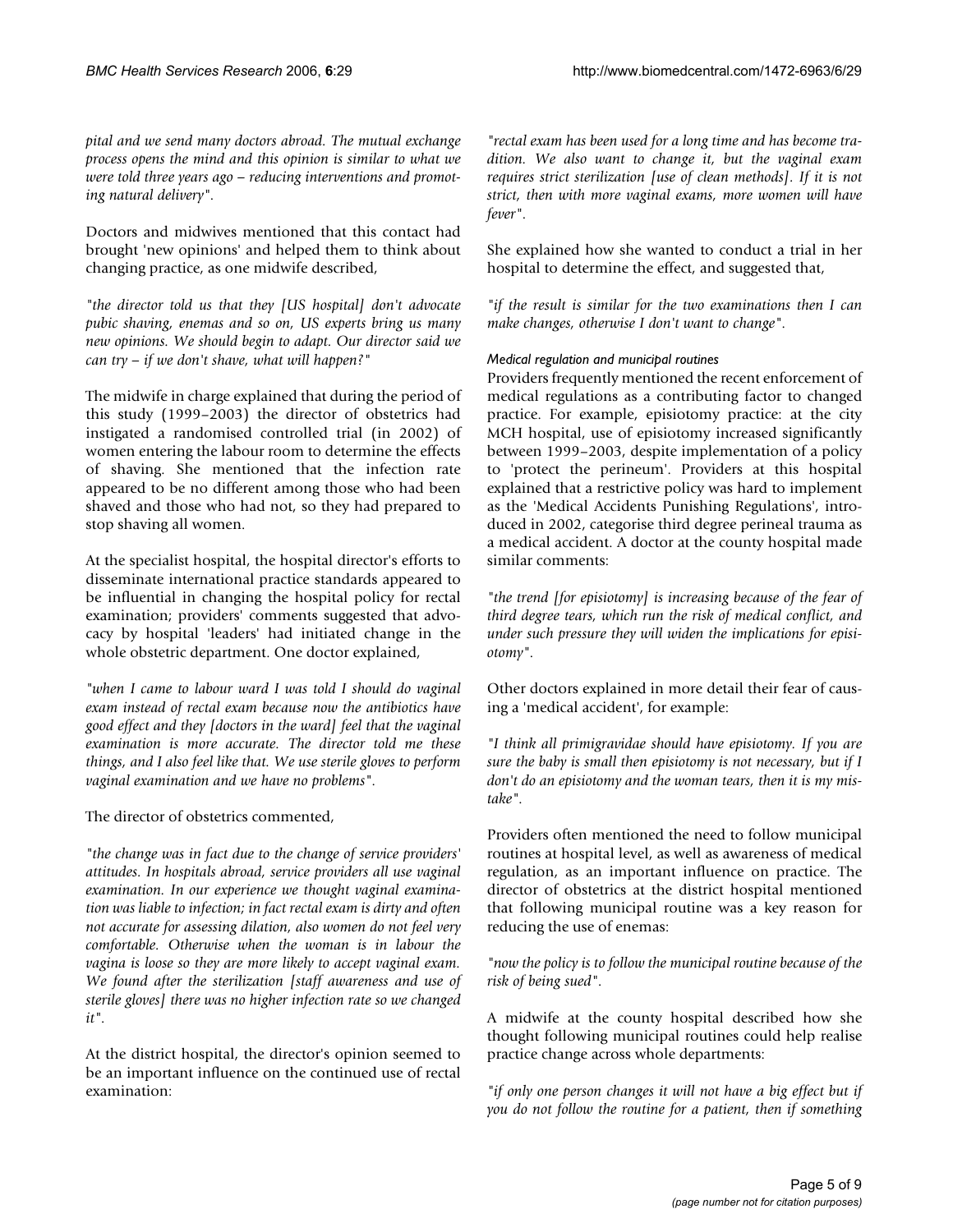*pital and we send many doctors abroad. The mutual exchange process opens the mind and this opinion is similar to what we were told three years ago – reducing interventions and promoting natural delivery"*.

Doctors and midwives mentioned that this contact had brought 'new opinions' and helped them to think about changing practice, as one midwife described,

*"the director told us that they [US hospital] don't advocate pubic shaving, enemas and so on, US experts bring us many new opinions. We should begin to adapt. Our director said we can try – if we don't shave, what will happen?"*

The midwife in charge explained that during the period of this study (1999–2003) the director of obstetrics had instigated a randomised controlled trial (in 2002) of women entering the labour room to determine the effects of shaving. She mentioned that the infection rate appeared to be no different among those who had been shaved and those who had not, so they had prepared to stop shaving all women.

At the specialist hospital, the hospital director's efforts to disseminate international practice standards appeared to be influential in changing the hospital policy for rectal examination; providers' comments suggested that advocacy by hospital 'leaders' had initiated change in the whole obstetric department. One doctor explained,

*"when I came to labour ward I was told I should do vaginal exam instead of rectal exam because now the antibiotics have good effect and they [doctors in the ward] feel that the vaginal examination is more accurate. The director told me these things, and I also feel like that. We use sterile gloves to perform vaginal examination and we have no problems"*.

The director of obstetrics commented,

*"the change was in fact due to the change of service providers' attitudes. In hospitals abroad, service providers all use vaginal examination. In our experience we thought vaginal examination was liable to infection; in fact rectal exam is dirty and often not accurate for assessing dilation, also women do not feel very comfortable. Otherwise when the woman is in labour the vagina is loose so they are more likely to accept vaginal exam. We found after the sterilization [staff awareness and use of sterile gloves] there was no higher infection rate so we changed it"*.

At the district hospital, the director's opinion seemed to be an important influence on the continued use of rectal examination:

*"rectal exam has been used for a long time and has become tradition. We also want to change it, but the vaginal exam requires strict sterilization [use of clean methods]. If it is not strict, then with more vaginal exams, more women will have fever"*.

She explained how she wanted to conduct a trial in her hospital to determine the effect, and suggested that,

*"if the result is similar for the two examinations then I can make changes, otherwise I don't want to change"*.

# *Medical regulation and municipal routines*

Providers frequently mentioned the recent enforcement of medical regulations as a contributing factor to changed practice. For example, episiotomy practice: at the city MCH hospital, use of episiotomy increased significantly between 1999–2003, despite implementation of a policy to 'protect the perineum'. Providers at this hospital explained that a restrictive policy was hard to implement as the 'Medical Accidents Punishing Regulations', introduced in 2002, categorise third degree perineal trauma as a medical accident. A doctor at the county hospital made similar comments:

*"the trend [for episiotomy] is increasing because of the fear of third degree tears, which run the risk of medical conflict, and under such pressure they will widen the implications for episiotomy"*.

Other doctors explained in more detail their fear of causing a 'medical accident', for example:

*"I think all primigravidae should have episiotomy. If you are sure the baby is small then episiotomy is not necessary, but if I don't do an episiotomy and the woman tears, then it is my mistake"*.

Providers often mentioned the need to follow municipal routines at hospital level, as well as awareness of medical regulation, as an important influence on practice. The director of obstetrics at the district hospital mentioned that following municipal routine was a key reason for reducing the use of enemas:

*"now the policy is to follow the municipal routine because of the risk of being sued"*.

A midwife at the county hospital described how she thought following municipal routines could help realise practice change across whole departments:

*"if only one person changes it will not have a big effect but if you do not follow the routine for a patient, then if something*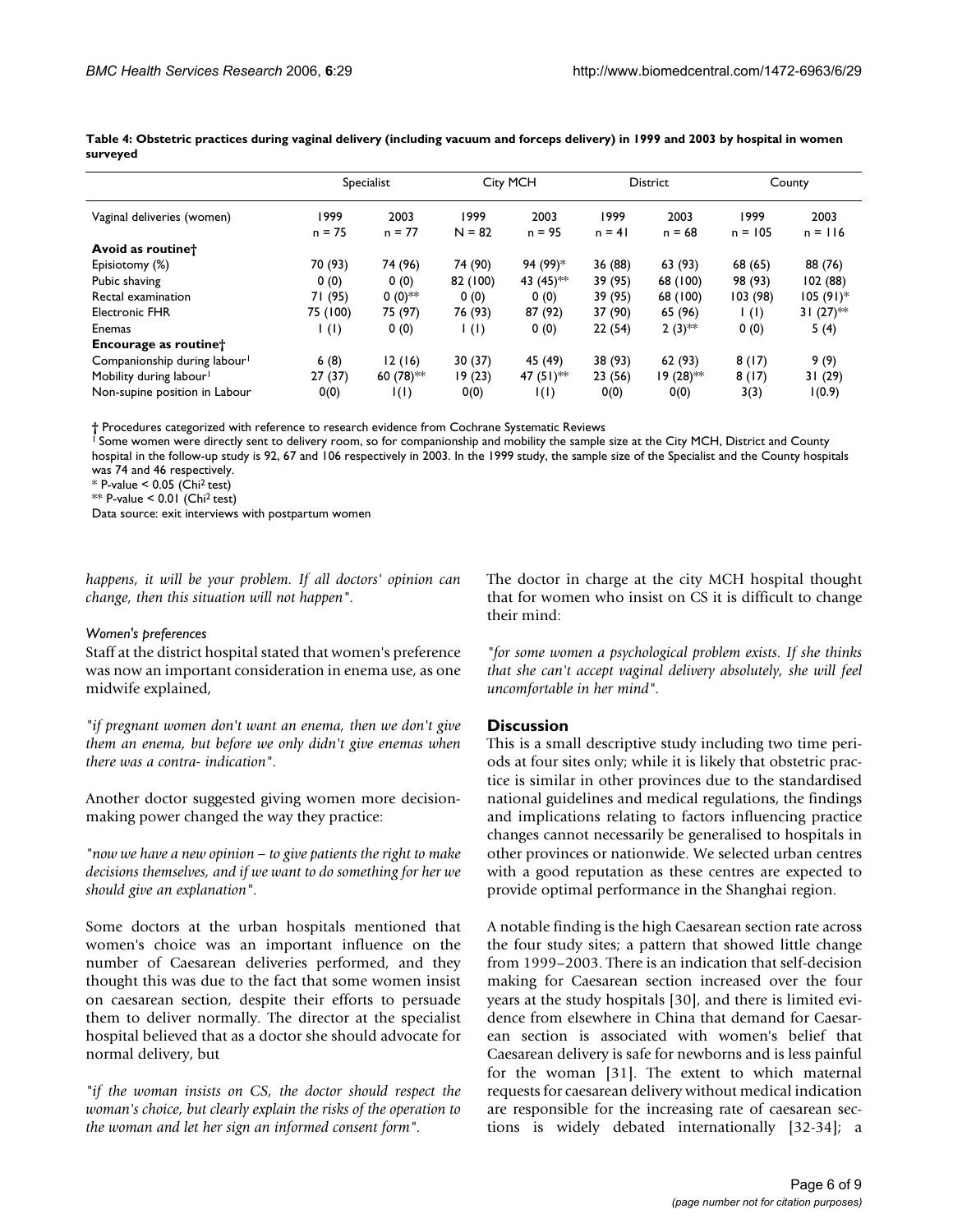|                                          | Specialist               |              | <b>City MCH</b> |              | District |                       | County      |              |
|------------------------------------------|--------------------------|--------------|-----------------|--------------|----------|-----------------------|-------------|--------------|
| Vaginal deliveries (women)               | 1999                     | 2003         | 1999            | 2003         | 1999     | 2003                  | 1999        | 2003         |
|                                          | $n = 75$                 | $n = 77$     | $N = 82$        | $n = 95$     | $n = 41$ | $n = 68$              | $n = 105$   | $n = 116$    |
| Avoid as routinet                        |                          |              |                 |              |          |                       |             |              |
| Episiotomy (%)                           | 70 (93)                  | 74 (96)      | 74 (90)         | 94 (99)*     | 36 (88)  | 63 (93)               | 68 (65)     | 88 (76)      |
| Pubic shaving                            | 0(0)                     | 0(0)         | 82 (100)        | 43 (45)**    | 39 (95)  | 68 (100)              | 98 (93)     | 102(88)      |
| Rectal examination                       | 71 (95)                  | $0(0)$ **    | 0(0)            | 0(0)         | 39 (95)  | 68 (100)              | 103(98)     | $105(91)$ *  |
| <b>Electronic FHR</b>                    | 75 (100)                 | 75 (97)      | 76 (93)         | 87 (92)      | 37 (90)  | 65 (96)               | $\vert$ (l) | 31 $(27)$ ** |
| Enemas                                   | $\mathsf{I}(\mathsf{I})$ | 0(0)         | (1)             | 0(0)         | 22(54)   | 2 $(3)$ <sup>**</sup> | 0(0)        | 5(4)         |
| Encourage as routinet                    |                          |              |                 |              |          |                       |             |              |
| Companionship during labour <sup>1</sup> | 6(8)                     | 12(16)       | 30(37)          | 45 (49)      | 38 (93)  | 62(93)                | 8(17)       | 9(9)         |
| Mobility during labour <sup>1</sup>      | 27(37)                   | 60 $(78)$ ** | 19(23)          | 47 $(51)$ ** | 23(56)   | $19(28)$ **           | 8(17)       | 31(29)       |
| Non-supine position in Labour            | 0(0)                     | I(I)         | 0(0)            | I(I)         | 0(0)     | 0(0)                  | 3(3)        | 1(0.9)       |

**Table 4: Obstetric practices during vaginal delivery (including vacuum and forceps delivery) in 1999 and 2003 by hospital in women surveyed**

**†** Procedures categorized with reference to research evidence from Cochrane Systematic Reviews

<sup>1</sup> Some women were directly sent to delivery room, so for companionship and mobility the sample size at the City MCH, District and County hospital in the follow-up study is 92, 67 and 106 respectively in 2003. In the 1999 study, the sample size of the Specialist and the County hospitals was 74 and 46 respectively.

 $*$  P-value < 0.05 (Chi<sup>2</sup> test)

 $**$  P-value  $< 0.01$  (Chi<sup>2</sup> test)

Data source: exit interviews with postpartum women

*happens, it will be your problem. If all doctors' opinion can change, then this situation will not happen"*.

#### *Women's preferences*

Staff at the district hospital stated that women's preference was now an important consideration in enema use, as one midwife explained,

*"if pregnant women don't want an enema, then we don't give them an enema, but before we only didn't give enemas when there was a contra- indication"*.

Another doctor suggested giving women more decisionmaking power changed the way they practice:

*"now we have a new opinion – to give patients the right to make decisions themselves, and if we want to do something for her we should give an explanation"*.

Some doctors at the urban hospitals mentioned that women's choice was an important influence on the number of Caesarean deliveries performed, and they thought this was due to the fact that some women insist on caesarean section, despite their efforts to persuade them to deliver normally. The director at the specialist hospital believed that as a doctor she should advocate for normal delivery, but

*"if the woman insists on CS, the doctor should respect the woman's choice, but clearly explain the risks of the operation to the woman and let her sign an informed consent form".*

The doctor in charge at the city MCH hospital thought that for women who insist on CS it is difficult to change their mind:

*"for some women a psychological problem exists. If she thinks that she can't accept vaginal delivery absolutely, she will feel uncomfortable in her mind".*

# **Discussion**

This is a small descriptive study including two time periods at four sites only; while it is likely that obstetric practice is similar in other provinces due to the standardised national guidelines and medical regulations, the findings and implications relating to factors influencing practice changes cannot necessarily be generalised to hospitals in other provinces or nationwide. We selected urban centres with a good reputation as these centres are expected to provide optimal performance in the Shanghai region.

A notable finding is the high Caesarean section rate across the four study sites; a pattern that showed little change from 1999–2003. There is an indication that self-decision making for Caesarean section increased over the four years at the study hospitals [30], and there is limited evidence from elsewhere in China that demand for Caesarean section is associated with women's belief that Caesarean delivery is safe for newborns and is less painful for the woman [31]. The extent to which maternal requests for caesarean delivery without medical indication are responsible for the increasing rate of caesarean sections is widely debated internationally [32-34]; a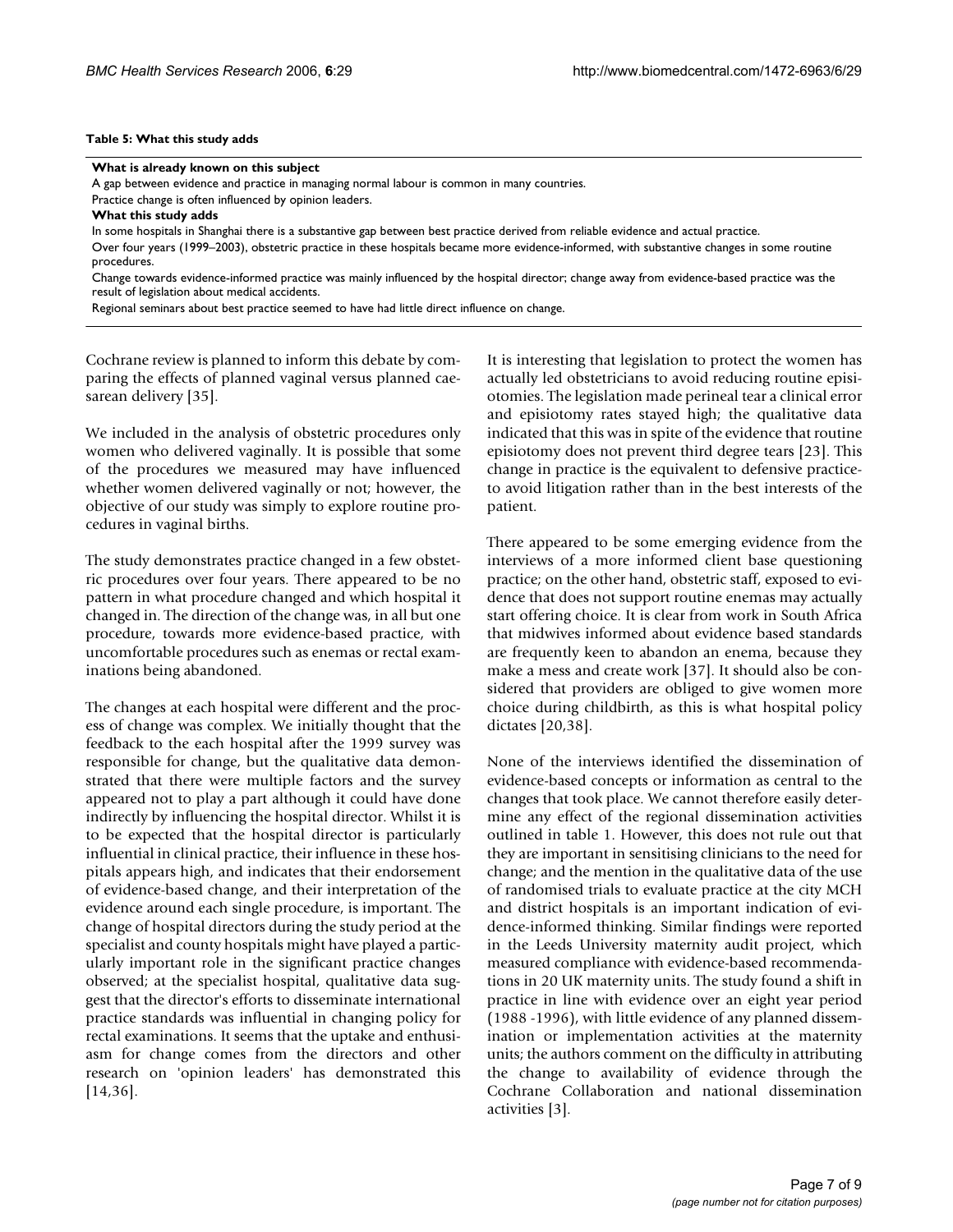#### **Table 5: What this study adds**

| What is already known on this subject                                                                                                                     |
|-----------------------------------------------------------------------------------------------------------------------------------------------------------|
| A gap between evidence and practice in managing normal labour is common in many countries.                                                                |
| Practice change is often influenced by opinion leaders.                                                                                                   |
| What this study adds                                                                                                                                      |
| In some hospitals in Shanghai there is a substantive gap between best practice derived from reliable evidence and actual practice.                        |
| Over four years (1999–2003), obstetric practice in these hospitals became more evidence-informed, with substantive changes in some routine<br>procedures. |
| Change towards evidence-informed practice was mainly influenced by the hospital director; change away from evidence-based practice was the                |
| result of legislation about medical accidents.                                                                                                            |
| Regional seminars about best practice seemed to have had little direct influence on change.                                                               |

Cochrane review is planned to inform this debate by comparing the effects of planned vaginal versus planned caesarean delivery [35].

We included in the analysis of obstetric procedures only women who delivered vaginally. It is possible that some of the procedures we measured may have influenced whether women delivered vaginally or not; however, the objective of our study was simply to explore routine procedures in vaginal births.

The study demonstrates practice changed in a few obstetric procedures over four years. There appeared to be no pattern in what procedure changed and which hospital it changed in. The direction of the change was, in all but one procedure, towards more evidence-based practice, with uncomfortable procedures such as enemas or rectal examinations being abandoned.

The changes at each hospital were different and the process of change was complex. We initially thought that the feedback to the each hospital after the 1999 survey was responsible for change, but the qualitative data demonstrated that there were multiple factors and the survey appeared not to play a part although it could have done indirectly by influencing the hospital director. Whilst it is to be expected that the hospital director is particularly influential in clinical practice, their influence in these hospitals appears high, and indicates that their endorsement of evidence-based change, and their interpretation of the evidence around each single procedure, is important. The change of hospital directors during the study period at the specialist and county hospitals might have played a particularly important role in the significant practice changes observed; at the specialist hospital, qualitative data suggest that the director's efforts to disseminate international practice standards was influential in changing policy for rectal examinations. It seems that the uptake and enthusiasm for change comes from the directors and other research on 'opinion leaders' has demonstrated this [14,36].

It is interesting that legislation to protect the women has actually led obstetricians to avoid reducing routine episiotomies. The legislation made perineal tear a clinical error and episiotomy rates stayed high; the qualitative data indicated that this was in spite of the evidence that routine episiotomy does not prevent third degree tears [23]. This change in practice is the equivalent to defensive practiceto avoid litigation rather than in the best interests of the patient.

There appeared to be some emerging evidence from the interviews of a more informed client base questioning practice; on the other hand, obstetric staff, exposed to evidence that does not support routine enemas may actually start offering choice. It is clear from work in South Africa that midwives informed about evidence based standards are frequently keen to abandon an enema, because they make a mess and create work [37]. It should also be considered that providers are obliged to give women more choice during childbirth, as this is what hospital policy dictates [20,38].

None of the interviews identified the dissemination of evidence-based concepts or information as central to the changes that took place. We cannot therefore easily determine any effect of the regional dissemination activities outlined in table 1. However, this does not rule out that they are important in sensitising clinicians to the need for change; and the mention in the qualitative data of the use of randomised trials to evaluate practice at the city MCH and district hospitals is an important indication of evidence-informed thinking. Similar findings were reported in the Leeds University maternity audit project, which measured compliance with evidence-based recommendations in 20 UK maternity units. The study found a shift in practice in line with evidence over an eight year period (1988 -1996), with little evidence of any planned dissemination or implementation activities at the maternity units; the authors comment on the difficulty in attributing the change to availability of evidence through the Cochrane Collaboration and national dissemination activities [3].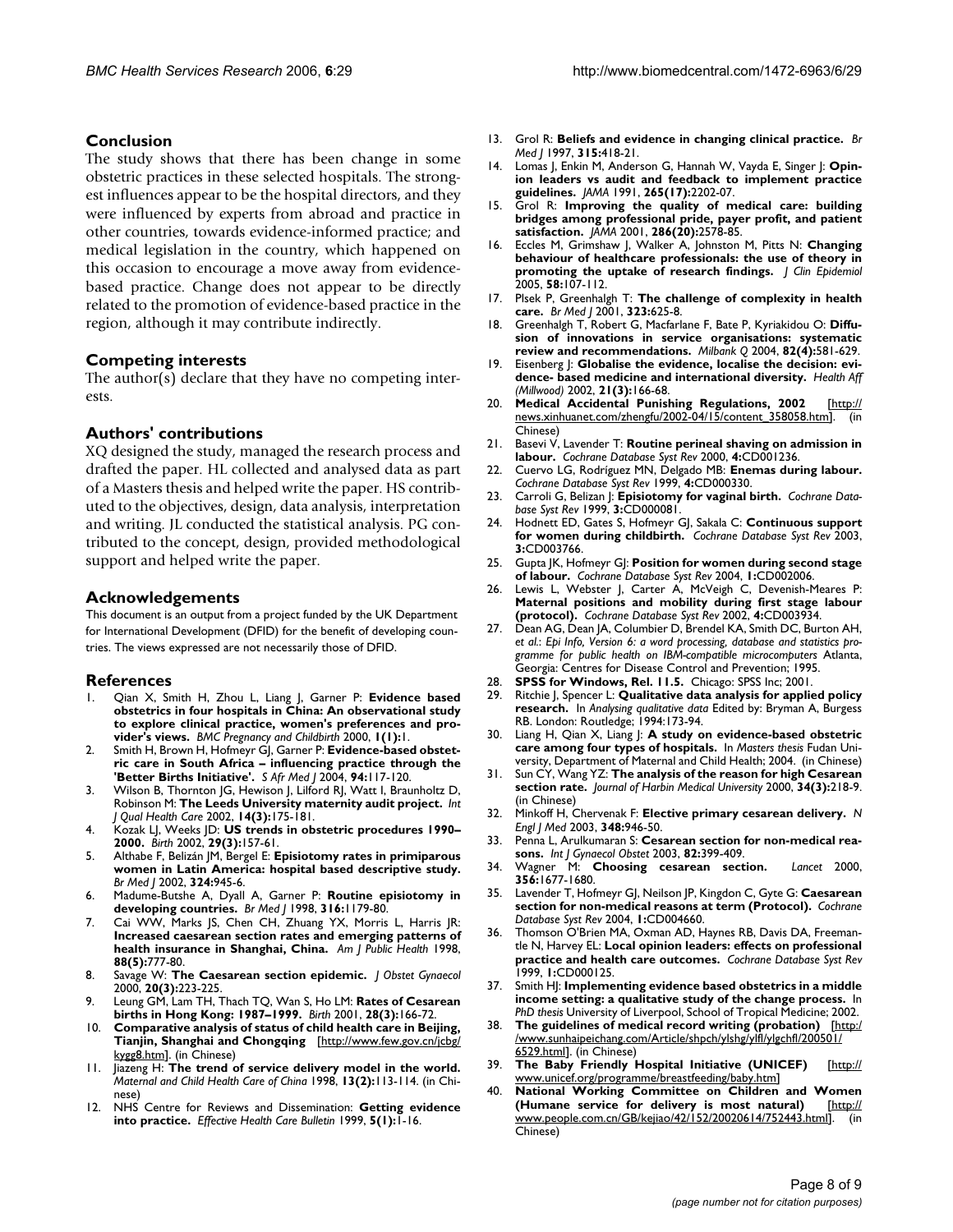# **Conclusion**

The study shows that there has been change in some obstetric practices in these selected hospitals. The strongest influences appear to be the hospital directors, and they were influenced by experts from abroad and practice in other countries, towards evidence-informed practice; and medical legislation in the country, which happened on this occasion to encourage a move away from evidencebased practice. Change does not appear to be directly related to the promotion of evidence-based practice in the region, although it may contribute indirectly.

### **Competing interests**

The author(s) declare that they have no competing interests.

# **Authors' contributions**

XQ designed the study, managed the research process and drafted the paper. HL collected and analysed data as part of a Masters thesis and helped write the paper. HS contributed to the objectives, design, data analysis, interpretation and writing. JL conducted the statistical analysis. PG contributed to the concept, design, provided methodological support and helped write the paper.

### **Acknowledgements**

This document is an output from a project funded by the UK Department for International Development (DFID) for the benefit of developing countries. The views expressed are not necessarily those of DFID.

# **References**

- 1. Qian X, Smith H, Zhou L, Liang J, Garner P: **Evidence based obstetrics in four hospitals in China: An observational study to explore clinical practice, women's preferences and provider's views.** *BMC Pregnancy and Childbirth* 2000, **1(1):**1.
- Smith H, Brown H, Hofmeyr GJ, Garner P: [Evidence-based obstet](http://www.ncbi.nlm.nih.gov/entrez/query.fcgi?cmd=Retrieve&db=PubMed&dopt=Abstract&list_uids=15034990)**[ric care in South Africa – influencing practice through the](http://www.ncbi.nlm.nih.gov/entrez/query.fcgi?cmd=Retrieve&db=PubMed&dopt=Abstract&list_uids=15034990) ['Better Births Initiative'.](http://www.ncbi.nlm.nih.gov/entrez/query.fcgi?cmd=Retrieve&db=PubMed&dopt=Abstract&list_uids=15034990)** *S Afr Med J* 2004, **94:**117-120.
- 3. Wilson B, Thornton JG, Hewison J, Lilford RJ, Watt I, Braunholtz D, Robinson M: **[The Leeds University maternity audit project.](http://www.ncbi.nlm.nih.gov/entrez/query.fcgi?cmd=Retrieve&db=PubMed&dopt=Abstract&list_uids=12108528)** *Int J Qual Health Care* 2002, **14(3):**175-181.
- 4. Kozak LJ, Weeks JD: **[US trends in obstetric procedures 1990–](http://www.ncbi.nlm.nih.gov/entrez/query.fcgi?cmd=Retrieve&db=PubMed&dopt=Abstract&list_uids=12153645) [2000.](http://www.ncbi.nlm.nih.gov/entrez/query.fcgi?cmd=Retrieve&db=PubMed&dopt=Abstract&list_uids=12153645)** *Birth* 2002, **29(3):**157-61.
- 5. Althabe F, Belizán JM, Bergel E: **Episiotomy rates in primiparous women in Latin America: hospital based descriptive study.** *Br Med J* 2002, **324:**945-6.
- 6. Madume-Butshe A, Dyall A, Garner P: **Routine episiotomy in developing countries.** *Br Med J* 1998, **316:**1179-80.
- 7. Cai WW, Marks JS, Chen CH, Zhuang YX, Morris L, Harris JR: **[Increased caesarean section rates and emerging patterns of](http://www.ncbi.nlm.nih.gov/entrez/query.fcgi?cmd=Retrieve&db=PubMed&dopt=Abstract&list_uids=9585744) [health insurance in Shanghai, China.](http://www.ncbi.nlm.nih.gov/entrez/query.fcgi?cmd=Retrieve&db=PubMed&dopt=Abstract&list_uids=9585744)** *Am J Public Health* 1998, **88(5):**777-80.
- 8. Savage W: **[The Caesarean section epidemic.](http://www.ncbi.nlm.nih.gov/entrez/query.fcgi?cmd=Retrieve&db=PubMed&dopt=Abstract&list_uids=15512539)** *J Obstet Gynaecol* 2000, **20(3):**223-225.
- 9. Leung GM, Lam TH, Thach TQ, Wan S, Ho LM: **[Rates of Cesarean](http://www.ncbi.nlm.nih.gov/entrez/query.fcgi?cmd=Retrieve&db=PubMed&dopt=Abstract&list_uids=11552964) [births in Hong Kong: 1987–1999.](http://www.ncbi.nlm.nih.gov/entrez/query.fcgi?cmd=Retrieve&db=PubMed&dopt=Abstract&list_uids=11552964)** *Birth* 2001, **28(3):**166-72.
- 10. **Comparative analysis of status of child health care in Beijing, Tianjin, Shanghai and Chongqing** [\[http://www.few.gov.cn/jcbg/](http://www.few.gov.cn/jcbg/kygg8.htm) [kygg8.htm\]](http://www.few.gov.cn/jcbg/kygg8.htm). (in Chinese)
- 11. Jiazeng H: **The trend of service delivery model in the world.** *Maternal and Child Health Care of China* 1998, **13(2):**113-114. (in Chinese)
- 12. NHS Centre for Reviews and Dissemination: **Getting evidence into practice.** *Effective Health Care Bulletin* 1999, **5(1):**1-16.
- 13. Grol R: **Beliefs and evidence in changing clinical practice.** *Br Med J* 1997, **315:**418-21.
- 14. Lomas J, Enkin M, Anderson G, Hannah W, Vayda E, Singer J: **[Opin](http://www.ncbi.nlm.nih.gov/entrez/query.fcgi?cmd=Retrieve&db=PubMed&dopt=Abstract&list_uids=2013952)[ion leaders vs audit and feedback to implement practice](http://www.ncbi.nlm.nih.gov/entrez/query.fcgi?cmd=Retrieve&db=PubMed&dopt=Abstract&list_uids=2013952) [guidelines.](http://www.ncbi.nlm.nih.gov/entrez/query.fcgi?cmd=Retrieve&db=PubMed&dopt=Abstract&list_uids=2013952)** *JAMA* 1991, **265(17):**2202-07.
- 15. Grol R: **[Improving the quality of medical care: building](http://www.ncbi.nlm.nih.gov/entrez/query.fcgi?cmd=Retrieve&db=PubMed&dopt=Abstract&list_uids=11722272) [bridges among professional pride, payer profit, and patient](http://www.ncbi.nlm.nih.gov/entrez/query.fcgi?cmd=Retrieve&db=PubMed&dopt=Abstract&list_uids=11722272) [satisfaction.](http://www.ncbi.nlm.nih.gov/entrez/query.fcgi?cmd=Retrieve&db=PubMed&dopt=Abstract&list_uids=11722272)** *JAMA* 2001, **286(20):**2578-85.
- 16. Eccles M, Grimshaw J, Walker A, Johnston M, Pitts N: **[Changing](http://www.ncbi.nlm.nih.gov/entrez/query.fcgi?cmd=Retrieve&db=PubMed&dopt=Abstract&list_uids=15680740) [behaviour of healthcare professionals: the use of theory in](http://www.ncbi.nlm.nih.gov/entrez/query.fcgi?cmd=Retrieve&db=PubMed&dopt=Abstract&list_uids=15680740) [promoting the uptake of research findings.](http://www.ncbi.nlm.nih.gov/entrez/query.fcgi?cmd=Retrieve&db=PubMed&dopt=Abstract&list_uids=15680740)** *J Clin Epidemiol* 2005, **58:**107-112.
- 17. Plsek P, Greenhalgh T: **The challenge of complexity in health care.** *Br Med J* 2001, **323:**625-8.
- 18. Greenhalgh T, Robert G, Macfarlane F, Bate P, Kyriakidou O: **[Diffu](http://www.ncbi.nlm.nih.gov/entrez/query.fcgi?cmd=Retrieve&db=PubMed&dopt=Abstract&list_uids=15595944)[sion of innovations in service organisations: systematic](http://www.ncbi.nlm.nih.gov/entrez/query.fcgi?cmd=Retrieve&db=PubMed&dopt=Abstract&list_uids=15595944) [review and recommendations.](http://www.ncbi.nlm.nih.gov/entrez/query.fcgi?cmd=Retrieve&db=PubMed&dopt=Abstract&list_uids=15595944)** *Milbank Q* 2004, **82(4):**581-629.
- 19. Eisenberg J: **[Globalise the evidence, localise the decision: evi](http://www.ncbi.nlm.nih.gov/entrez/query.fcgi?cmd=Retrieve&db=PubMed&dopt=Abstract&list_uids=12025980)[dence- based medicine and international diversity.](http://www.ncbi.nlm.nih.gov/entrez/query.fcgi?cmd=Retrieve&db=PubMed&dopt=Abstract&list_uids=12025980)** *Health Aff (Millwood)* 2002, **21(3):**166-68.
- 20. **Medical Accidental Punishing Regulations, 2002** [\[http://](http://news.xinhuanet.com/zhengfu/2002-04/15/content_358058.htm) [news.xinhuanet.com/zhengfu/2002-04/15/content\\_358058.htm\]](http://news.xinhuanet.com/zhengfu/2002-04/15/content_358058.htm). (in Chinese)
- 21. Basevi V, Lavender T: **Routine perineal shaving on admission in labour.** *Cochrane Database Syst Rev* 2000, **4:**CD001236.
- 22. Cuervo LG, Rodríguez MN, Delgado MB: **Enemas during labour.** *Cochrane Database Syst Rev* 1999, **4:**CD000330.
- 23. Carroli G, Belizan J: **Episiotomy for vaginal birth.** *Cochrane Database Syst Rev* 1999, **3:**CD000081.
- 24. Hodnett ED, Gates S, Hofmeyr GJ, Sakala C: **[Continuous support](http://www.ncbi.nlm.nih.gov/entrez/query.fcgi?cmd=Retrieve&db=PubMed&dopt=Abstract&list_uids=12917986) [for women during childbirth.](http://www.ncbi.nlm.nih.gov/entrez/query.fcgi?cmd=Retrieve&db=PubMed&dopt=Abstract&list_uids=12917986)** *Cochrane Database Syst Rev* 2003, **3:**CD003766.
- 25. Gupta JK, Hofmeyr GJ: **[Position for women during second stage](http://www.ncbi.nlm.nih.gov/entrez/query.fcgi?cmd=Retrieve&db=PubMed&dopt=Abstract&list_uids=14973980) [of labour.](http://www.ncbi.nlm.nih.gov/entrez/query.fcgi?cmd=Retrieve&db=PubMed&dopt=Abstract&list_uids=14973980)** *Cochrane Database Syst Rev* 2004, **1:**CD002006.
- 26. Lewis L, Webster J, Carter A, McVeigh C, Devenish-Meares P: **Maternal positions and mobility during first stage labour (protocol).** *Cochrane Database Syst Rev* 2002, **4:**CD003934.
- 27. Dean AG, Dean JA, Columbier D, Brendel KA, Smith DC, Burton AH, *et al.*: *Epi Info, Version 6: a word processing, database and statistics programme for public health on IBM-compatible microcomputers* Atlanta, Georgia: Centres for Disease Control and Prevention; 1995.
- 28. **SPSS for Windows, Rel. 11.5.** Chicago: SPSS Inc; 2001.
- 29. Ritchie J, Spencer L: **Qualitative data analysis for applied policy research.** In *Analysing qualitative data* Edited by: Bryman A, Burgess RB. London: Routledge; 1994:173-94.
- 30. Liang H, Qian X, Liang J: **A study on evidence-based obstetric care among four types of hospitals.** In *Masters thesis* Fudan University, Department of Maternal and Child Health; 2004. (in Chinese)
- 31. Sun CY, Wang YZ: **The analysis of the reason for high Cesarean section rate.** *Journal of Harbin Medical University* 2000, **34(3):**218-9. (in Chinese)
- 32. Minkoff H, Chervenak F: **[Elective primary cesarean delivery.](http://www.ncbi.nlm.nih.gov/entrez/query.fcgi?cmd=Retrieve&db=PubMed&dopt=Abstract&list_uids=12621140)** *N Engl J Med* 2003, **348:**946-50.
- 33. Penna L, Arulkumaran S: **[Cesarean section for non-medical rea](http://www.ncbi.nlm.nih.gov/entrez/query.fcgi?cmd=Retrieve&db=PubMed&dopt=Abstract&list_uids=14499986)[sons.](http://www.ncbi.nlm.nih.gov/entrez/query.fcgi?cmd=Retrieve&db=PubMed&dopt=Abstract&list_uids=14499986)** *Int J Gynaecol Obstet* 2003, **82:**399-409.
- 34. Wagner M: **[Choosing cesarean section.](http://www.ncbi.nlm.nih.gov/entrez/query.fcgi?cmd=Retrieve&db=PubMed&dopt=Abstract&list_uids=11089840)** *Lancet* 2000, **356:**1677-1680.
- 35. Lavender T, Hofmeyr GJ, Neilson JP, Kingdon C, Gyte G: **Caesarean section for non-medical reasons at term (Protocol).** *Cochrane Database Syst Rev* 2004, **1:**CD004660.
- 36. Thomson O'Brien MA, Oxman AD, Haynes RB, Davis DA, Freemantle N, Harvey EL: **Local opinion leaders: effects on professional practice and health care outcomes.** *Cochrane Database Syst Rev* 1999, **1:**CD000125.
- 37. Smith HJ: **Implementing evidence based obstetrics in a middle income setting: a qualitative study of the change process.** In *PhD thesis* University of Liverpool, School of Tropical Medicine; 2002.
- 38. **The guidelines of medical record writing (probation)** [[http:/](http://www.sunhaipeichang.com/Article/shpch/ylshg/ylfl/ylgchfl/200501/6529.html) [/www.sunhaipeichang.com/Article/shpch/ylshg/ylfl/ylgchfl/200501/](http://www.sunhaipeichang.com/Article/shpch/ylshg/ylfl/ylgchfl/200501/6529.html) [6529.html](http://www.sunhaipeichang.com/Article/shpch/ylshg/ylfl/ylgchfl/200501/6529.html)]. (in Chinese)
- 39. **The Baby Friendly Hospital Initiative (UNICEF)** [\[http://](http://www.unicef.org/programme/breastfeeding/baby.htm) [www.unicef.org/programme/breastfeeding/baby.htm\]](http://www.unicef.org/programme/breastfeeding/baby.htm)
- 40. **National Working Committee on Children and Women (Humane service for delivery is most natural)** [\[http://](http://www.people.com.cn/GB/kejiao/42/152/20020614/752443.html) [www.people.com.cn/GB/kejiao/42/152/20020614/752443.html](http://www.people.com.cn/GB/kejiao/42/152/20020614/752443.html)]. (in Chinese)